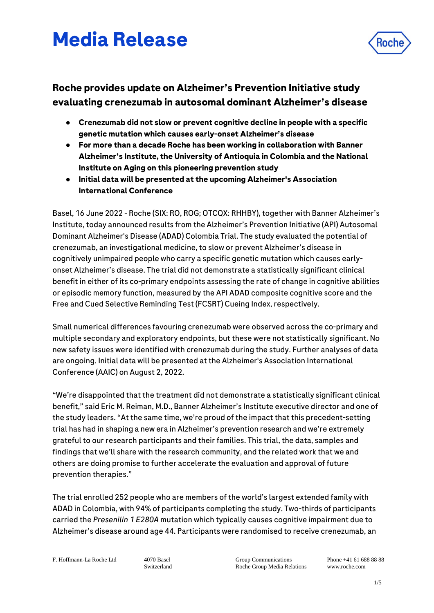# **Media Release**



# **Roche provides update on Alzheimer's Prevention Initiative study evaluating crenezumab in autosomal dominant Alzheimer's disease**

- **Crenezumab did not slow or prevent cognitive decline in people with a specific genetic mutation which causes early-onset Alzheimer's disease**
- **For more than a decade Roche has been working in collaboration with Banner Alzheimer's Institute, the University of Antioquia in Colombia and the National Institute on Aging on this pioneering prevention study**
- **Initial data will be presented at the upcoming Alzheimer's Association International Conference**

Basel, 16 June 2022 - Roche (SIX: RO, ROG; OTCQX: RHHBY), together with Banner Alzheimer's Institute, today announced results from the Alzheimer's Prevention Initiative (API) Autosomal Dominant Alzheimer's Disease (ADAD) Colombia Trial. The study evaluated the potential of crenezumab, an investigational medicine, to slow or prevent Alzheimer's disease in cognitively unimpaired people who carry a specific genetic mutation which causes earlyonset Alzheimer's disease. The trial did not demonstrate a statistically significant clinical benefit in either of its co-primary endpoints assessing the rate of change in cognitive abilities or episodic memory function, measured by the API ADAD composite cognitive score and the Free and Cued Selective Reminding Test (FCSRT) Cueing Index, respectively.

Small numerical differences favouring crenezumab were observed across the co-primary and multiple secondary and exploratory endpoints, but these were not statistically significant. No new safety issues were identified with crenezumab during the study. Further analyses of data are ongoing. Initial data will be presented at the Alzheimer's Association International Conference (AAIC) on August 2, 2022.

"We're disappointed that the treatment did not demonstrate a statistically significant clinical benefit," said Eric M. Reiman, M.D., Banner Alzheimer's Institute executive director and one of the study leaders. "At the same time, we're proud of the impact that this precedent-setting trial has had in shaping a new era in Alzheimer's prevention research and we're extremely grateful to our research participants and their families. This trial, the data, samples and findings that we'll share with the research community, and the related work that we and others are doing promise to further accelerate the evaluation and approval of future prevention therapies."

The trial enrolled 252 people who are members of the world's largest extended family with ADAD in Colombia, with 94% of participants completing the study. Two-thirds of participants carried the *Presenilin 1 E280A* mutation which typically causes cognitive impairment due to Alzheimer's disease around age 44. Participants were randomised to receive crenezumab, an

F. Hoffmann-La Roche Ltd 4070 Basel

Switzerland

Group Communications Roche Group Media Relations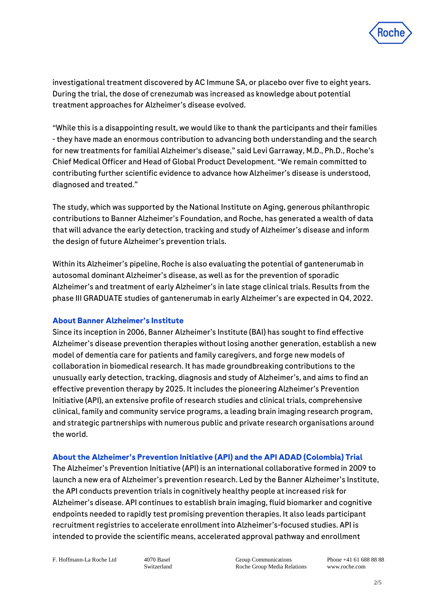

investigational treatment discovered by AC Immune SA, or placebo over five to eight years. During the trial, the dose of crenezumab was increased as knowledge about potential treatment approaches for Alzheimer's disease evolved.

"While this is a disappointing result, we would like to thank the participants and their families - they have made an enormous contribution to advancing both understanding and the search for new treatments for familial Alzheimer's disease," said Levi Garraway, M.D., Ph.D., Roche's Chief Medical Officer and Head of Global Product Development. "We remain committed to contributing further scientific evidence to advance how Alzheimer's disease is understood, diagnosed and treated."

The study, which was supported by the National Institute on Aging, generous philanthropic contributions to Banner Alzheimer's Foundation, and Roche, has generated a wealth of data that will advance the early detection, tracking and study of Alzheimer's disease and inform the design of future Alzheimer's prevention trials.

Within its Alzheimer's pipeline, Roche is also evaluating the potential of gantenerumab in autosomal dominant Alzheimer's disease, as well as for the prevention of sporadic Alzheimer's and treatment of early Alzheimer's in late stage clinical trials. Results from the phase III GRADUATE studies of gantenerumab in early Alzheimer's are expected in Q4, 2022.

# **About Banner Alzheimer's Institute**

Since its inception in 2006, Banner Alzheimer's Institute (BAI) has sought to find effective Alzheimer's disease prevention therapies without losing another generation, establish a new model of dementia care for patients and family caregivers, and forge new models of collaboration in biomedical research. It has made groundbreaking contributions to the unusually early detection, tracking, diagnosis and study of Alzheimer's, and aims to find an effective prevention therapy by 2025. It includes the pioneering Alzheimer's Prevention Initiative (API), an extensive profile of research studies and clinical trials, comprehensive clinical, family and community service programs, a leading brain imaging research program, and strategic partnerships with numerous public and private research organisations around the world.

# **About the Alzheimer's Prevention Initiative (API) and the API ADAD (Colombia) Trial**

The Alzheimer's Prevention Initiative (API) is an international collaborative formed in 2009 to launch a new era of Alzheimer's prevention research. Led by the Banner Alzheimer's Institute, the API conducts prevention trials in cognitively healthy people at increased risk for Alzheimer's disease. API continues to establish brain imaging, fluid biomarker and cognitive endpoints needed to rapidly test promising prevention therapies. It also leads participant recruitment registries to accelerate enrollment into Alzheimer's-focused studies. API is intended to provide the scientific means, accelerated approval pathway and enrollment

F. Hoffmann-La Roche Ltd 4070 Basel

Switzerland

Group Communications Roche Group Media Relations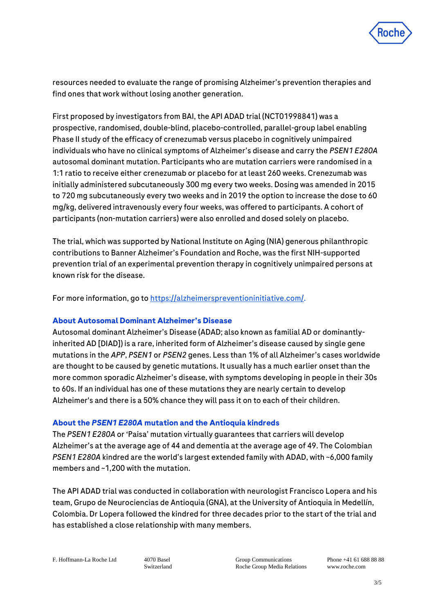

resources needed to evaluate the range of promising Alzheimer's prevention therapies and find ones that work without losing another generation.

First proposed by investigators from BAI, the API ADAD trial (NCT01998841) was a prospective, randomised, double-blind, placebo-controlled, parallel-group label enabling Phase II study of the efficacy of crenezumab versus placebo in cognitively unimpaired individuals who have no clinical symptoms of Alzheimer's disease and carry the *PSEN1 E280A*  autosomal dominant mutation. Participants who are mutation carriers were randomised in a 1:1 ratio to receive either crenezumab or placebo for at least 260 weeks. Crenezumab was initially administered subcutaneously 300 mg every two weeks. Dosing was amended in 2015 to 720 mg subcutaneously every two weeks and in 2019 the option to increase the dose to 60 mg/kg, delivered intravenously every four weeks, was offered to participants. A cohort of participants (non-mutation carriers) were also enrolled and dosed solely on placebo.

The trial, which was supported by National Institute on Aging (NIA) generous philanthropic contributions to Banner Alzheimer's Foundation and Roche, was the first NIH-supported prevention trial of an experimental prevention therapy in cognitively unimpaired persons at known risk for the disease.

F[o](https://alzheimerspreventioninitiative.com/)r more information, go to [https://alzheimerspreventioninitiative.com/.](https://alzheimerspreventioninitiative.com/)

# **About Autosomal Dominant Alzheimer's Disease**

Autosomal dominant Alzheimer's Disease (ADAD; also known as familial AD or dominantlyinherited AD [DIAD]) is a rare, inherited form of Alzheimer's disease caused by single gene mutations in the *APP*, *PSEN1* or *PSEN2* genes. Less than 1% of all Alzheimer's cases worldwide are thought to be caused by genetic mutations. It usually has a much earlier onset than the more common sporadic Alzheimer's disease, with symptoms developing in people in their 30s to 60s. If an individual has one of these mutations they are nearly certain to develop Alzheimer's and there is a 50% chance they will pass it on to each of their children.

# **About the** *PSEN1 E280A* **mutation and the Antioquia kindreds**

The *PSEN1 E280A* or 'Paisa' mutation virtually guarantees that carriers will develop Alzheimer's at the average age of 44 and dementia at the average age of 49. The Colombian *PSEN1 E280A* kindred are the world's largest extended family with ADAD, with ~6,000 family members and ~1,200 with the mutation.

The API ADAD trial was conducted in collaboration with neurologist Francisco Lopera and his team, Grupo de Neurociencias de Antioquia (GNA), at the University of Antioquia in Medellín, Colombia. Dr Lopera followed the kindred for three decades prior to the start of the trial and has established a close relationship with many members.

F. Hoffmann-La Roche Ltd 4070 Basel

Switzerland

Group Communications Roche Group Media Relations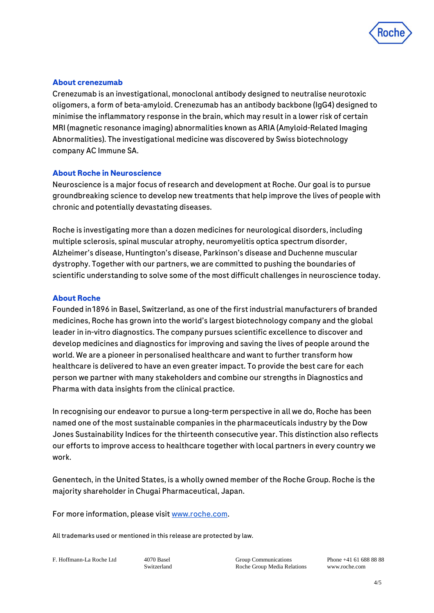

# **About crenezumab**

Crenezumab is an investigational, monoclonal antibody designed to neutralise neurotoxic oligomers, a form of beta-amyloid. Crenezumab has an antibody backbone (IgG4) designed to minimise the inflammatory response in the brain, which may result in a lower risk of certain MRI (magnetic resonance imaging) abnormalities known as ARIA (Amyloid-Related Imaging Abnormalities). The investigational medicine was discovered by Swiss biotechnology company AC Immune SA.

# **About Roche in Neuroscience**

Neuroscience is a major focus of research and development at Roche. Our goal is to pursue groundbreaking science to develop new treatments that help improve the lives of people with chronic and potentially devastating diseases.

Roche is investigating more than a dozen medicines for neurological disorders, including multiple sclerosis, spinal muscular atrophy, neuromyelitis optica spectrum disorder, Alzheimer's disease, Huntington's disease, Parkinson's disease and Duchenne muscular dystrophy. Together with our partners, we are committed to pushing the boundaries of scientific understanding to solve some of the most difficult challenges in neuroscience today.

#### **About Roche**

Founded in1896 in Basel, Switzerland, as one of the first industrial manufacturers of branded medicines, Roche has grown into the world's largest biotechnology company and the global leader in in-vitro diagnostics. The company pursues scientific excellence to discover and develop medicines and diagnostics for improving and saving the lives of people around the world. We are a pioneer in personalised healthcare and want to further transform how healthcare is delivered to have an even greater impact. To provide the best care for each person we partner with many stakeholders and combine our strengths in Diagnostics and Pharma with data insights from the clinical practice.

In recognising our endeavor to pursue a long-term perspective in all we do, Roche has been named one of the most sustainable companies in the pharmaceuticals industry by the Dow Jones Sustainability Indices for the thirteenth consecutive year. This distinction also reflects our efforts to improve access to healthcare together with local partners in every country we work.

Genentech, in the United States, is a wholly owned member of the Roche Group. Roche is the majority shareholder in Chugai Pharmaceutical, Japan.

For more information, please visi[t www.roche.com.](http://www.roche.com/)

All trademarks used or mentioned in this release are protected by law.

F. Hoffmann-La Roche Ltd 4070 Basel

Switzerland

Group Communications Roche Group Media Relations